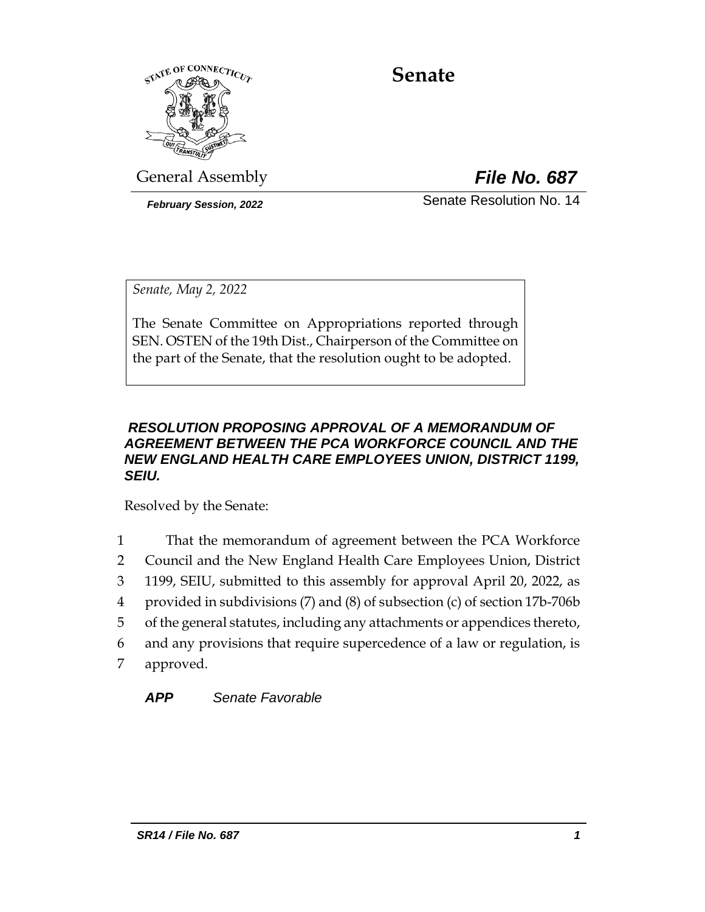

# **Senate**

General Assembly *File No. 687*

*February Session, 2022* Senate Resolution No. 14

*Senate, May 2, 2022*

The Senate Committee on Appropriations reported through SEN. OSTEN of the 19th Dist., Chairperson of the Committee on the part of the Senate, that the resolution ought to be adopted.

#### *RESOLUTION PROPOSING APPROVAL OF A MEMORANDUM OF AGREEMENT BETWEEN THE PCA WORKFORCE COUNCIL AND THE NEW ENGLAND HEALTH CARE EMPLOYEES UNION, DISTRICT 1199, SEIU.*

Resolved by the Senate:

 That the memorandum of agreement between the PCA Workforce Council and the New England Health Care Employees Union, District 1199, SEIU, submitted to this assembly for approval April 20, 2022, as provided in subdivisions (7) and (8) of subsection (c) of section 17b-706b of the general statutes, including any attachments or appendices thereto, and any provisions that require supercedence of a law or regulation, is approved.

*APP Senate Favorable*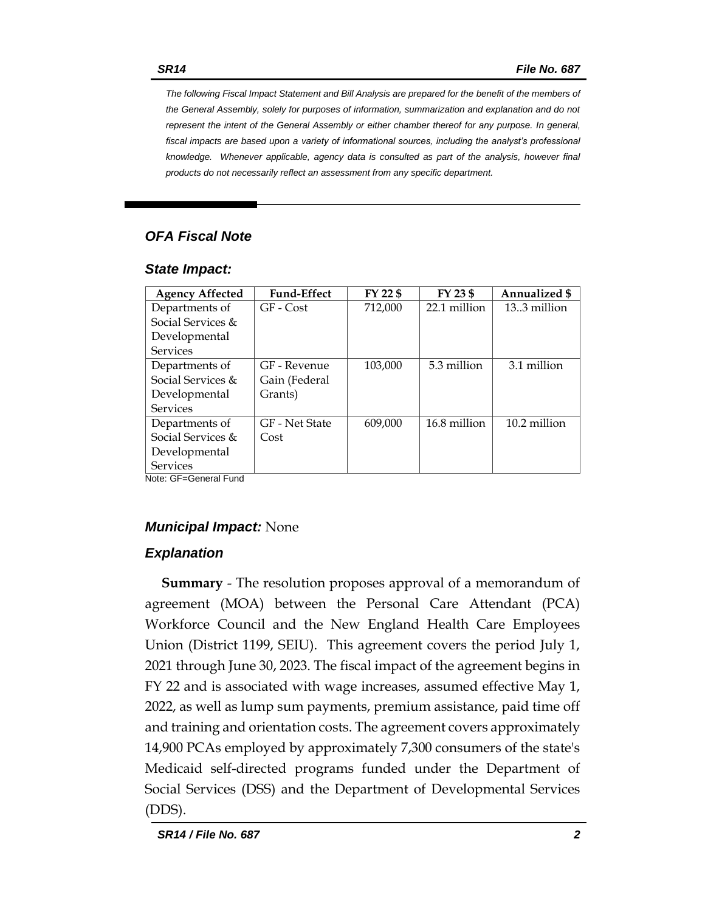*The following Fiscal Impact Statement and Bill Analysis are prepared for the benefit of the members of the General Assembly, solely for purposes of information, summarization and explanation and do not represent the intent of the General Assembly or either chamber thereof for any purpose. In general, fiscal impacts are based upon a variety of informational sources, including the analyst's professional knowledge. Whenever applicable, agency data is consulted as part of the analysis, however final products do not necessarily reflect an assessment from any specific department.*

### *OFA Fiscal Note*

#### *State Impact:*

| <b>Agency Affected</b> | <b>Fund-Effect</b> | FY 22 \$ | FY 23 \$     | Annualized \$  |
|------------------------|--------------------|----------|--------------|----------------|
| Departments of         | GF - Cost          | 712,000  | 22.1 million | $13.3$ million |
| Social Services $\&$   |                    |          |              |                |
| Developmental          |                    |          |              |                |
| <b>Services</b>        |                    |          |              |                |
| Departments of         | GF - Revenue       | 103,000  | 5.3 million  | 3.1 million    |
| Social Services $\&$   | Gain (Federal      |          |              |                |
| Developmental          | Grants)            |          |              |                |
| Services               |                    |          |              |                |
| Departments of         | GF - Net State     | 609.000  | 16.8 million | 10.2 million   |
| Social Services &      | Cost               |          |              |                |
| Developmental          |                    |          |              |                |
| <b>Services</b>        |                    |          |              |                |

Note: GF=General Fund

### *Municipal Impact:* None

### *Explanation*

**Summary** - The resolution proposes approval of a memorandum of agreement (MOA) between the Personal Care Attendant (PCA) Workforce Council and the New England Health Care Employees Union (District 1199, SEIU). This agreement covers the period July 1, 2021 through June 30, 2023. The fiscal impact of the agreement begins in FY 22 and is associated with wage increases, assumed effective May 1, 2022, as well as lump sum payments, premium assistance, paid time off and training and orientation costs. The agreement covers approximately 14,900 PCAs employed by approximately 7,300 consumers of the state's Medicaid self-directed programs funded under the Department of Social Services (DSS) and the Department of Developmental Services (DDS).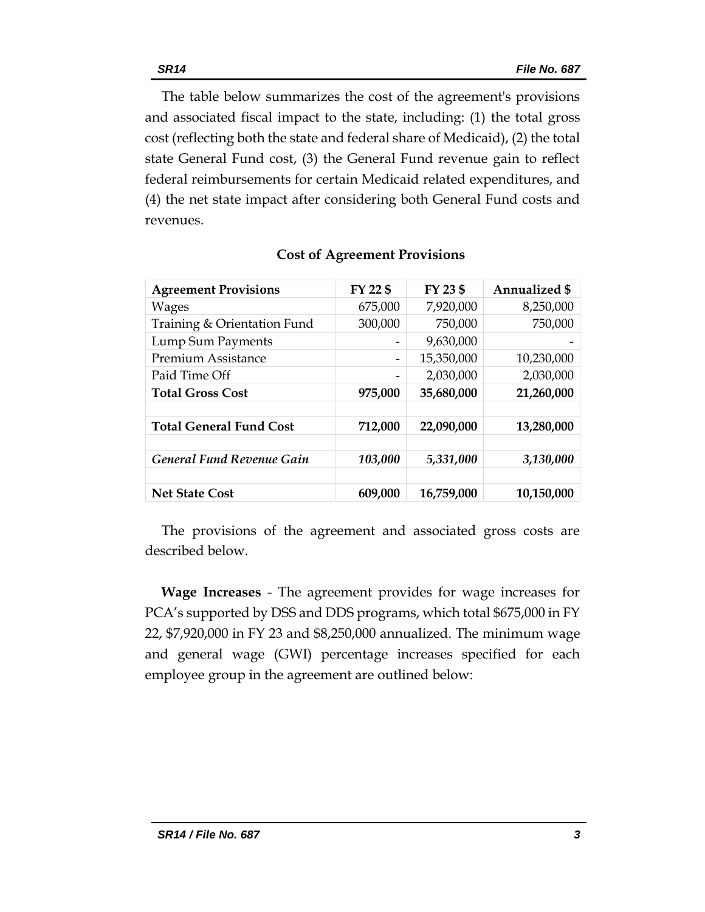The table below summarizes the cost of the agreement's provisions and associated fiscal impact to the state, including: (1) the total gross cost (reflecting both the state and federal share of Medicaid), (2) the total state General Fund cost, (3) the General Fund revenue gain to reflect federal reimbursements for certain Medicaid related expenditures, and (4) the net state impact after considering both General Fund costs and revenues.

| <b>Agreement Provisions</b>      | FY 22 \$ | FY 23 \$   | <b>Annualized \$</b> |
|----------------------------------|----------|------------|----------------------|
| <b>Wages</b>                     | 675,000  | 7,920,000  | 8,250,000            |
| Training & Orientation Fund      | 300,000  | 750,000    | 750,000              |
| Lump Sum Payments                |          | 9,630,000  |                      |
| <b>Premium Assistance</b>        | -        | 15,350,000 | 10,230,000           |
| Paid Time Off                    |          | 2,030,000  | 2,030,000            |
| <b>Total Gross Cost</b>          | 975,000  | 35,680,000 | 21,260,000           |
|                                  |          |            |                      |
| <b>Total General Fund Cost</b>   | 712,000  | 22,090,000 | 13,280,000           |
|                                  |          |            |                      |
| <b>General Fund Revenue Gain</b> | 103,000  | 5,331,000  | 3,130,000            |
|                                  |          |            |                      |
| <b>Net State Cost</b>            | 609,000  | 16,759,000 | 10,150,000           |

#### **Cost of Agreement Provisions**

The provisions of the agreement and associated gross costs are described below.

**Wage Increases** - The agreement provides for wage increases for PCA's supported by DSS and DDS programs, which total \$675,000 in FY 22, \$7,920,000 in FY 23 and \$8,250,000 annualized. The minimum wage and general wage (GWI) percentage increases specified for each employee group in the agreement are outlined below: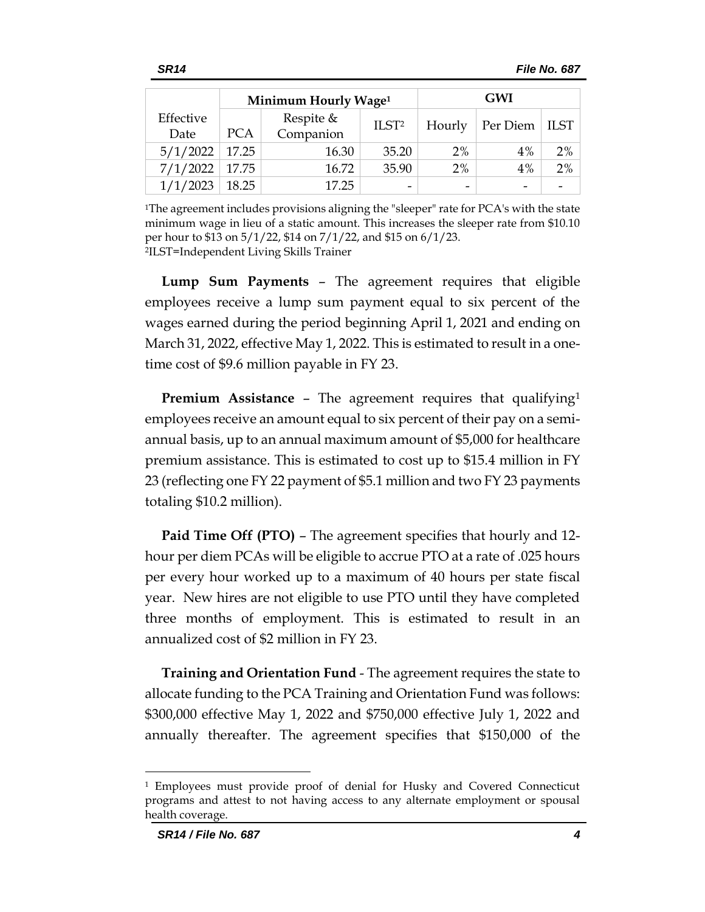|                   |            | Minimum Hourly Wage <sup>1</sup> |                   | <b>GWI</b> |                          |      |
|-------------------|------------|----------------------------------|-------------------|------------|--------------------------|------|
| Effective<br>Date | <b>PCA</b> | Respite $&$<br>Companion         | ILST <sup>2</sup> | Hourly     | Per Diem                 | ILST |
| 5/1/2022          | 17.25      | 16.30                            | 35.20             | 2%         | 4%                       | 2%   |
| 7/1/2022          | 17.75      | 16.72                            | 35.90             | 2%         | 4%                       | 2%   |
| 1/1/2023          | 18.25      | 17.25                            | -                 | -          | $\overline{\phantom{0}}$ |      |

<sup>1</sup>The agreement includes provisions aligning the "sleeper" rate for PCA's with the state minimum wage in lieu of a static amount. This increases the sleeper rate from \$10.10 per hour to \$13 on 5/1/22, \$14 on 7/1/22, and \$15 on 6/1/23. 2 ILST=Independent Living Skills Trainer

**Lump Sum Payments** – The agreement requires that eligible employees receive a lump sum payment equal to six percent of the wages earned during the period beginning April 1, 2021 and ending on March 31, 2022, effective May 1, 2022. This is estimated to result in a onetime cost of \$9.6 million payable in FY 23.

**Premium Assistance** – The agreement requires that qualifying<sup>1</sup> employees receive an amount equal to six percent of their pay on a semiannual basis, up to an annual maximum amount of \$5,000 for healthcare premium assistance. This is estimated to cost up to \$15.4 million in FY 23 (reflecting one FY 22 payment of \$5.1 million and two FY 23 payments totaling \$10.2 million).

**Paid Time Off (PTO)** – The agreement specifies that hourly and 12 hour per diem PCAs will be eligible to accrue PTO at a rate of .025 hours per every hour worked up to a maximum of 40 hours per state fiscal year. New hires are not eligible to use PTO until they have completed three months of employment. This is estimated to result in an annualized cost of \$2 million in FY 23.

**Training and Orientation Fund** - The agreement requires the state to allocate funding to the PCA Training and Orientation Fund was follows: \$300,000 effective May 1, 2022 and \$750,000 effective July 1, 2022 and annually thereafter. The agreement specifies that \$150,000 of the

<sup>1</sup> Employees must provide proof of denial for Husky and Covered Connecticut programs and attest to not having access to any alternate employment or spousal health coverage.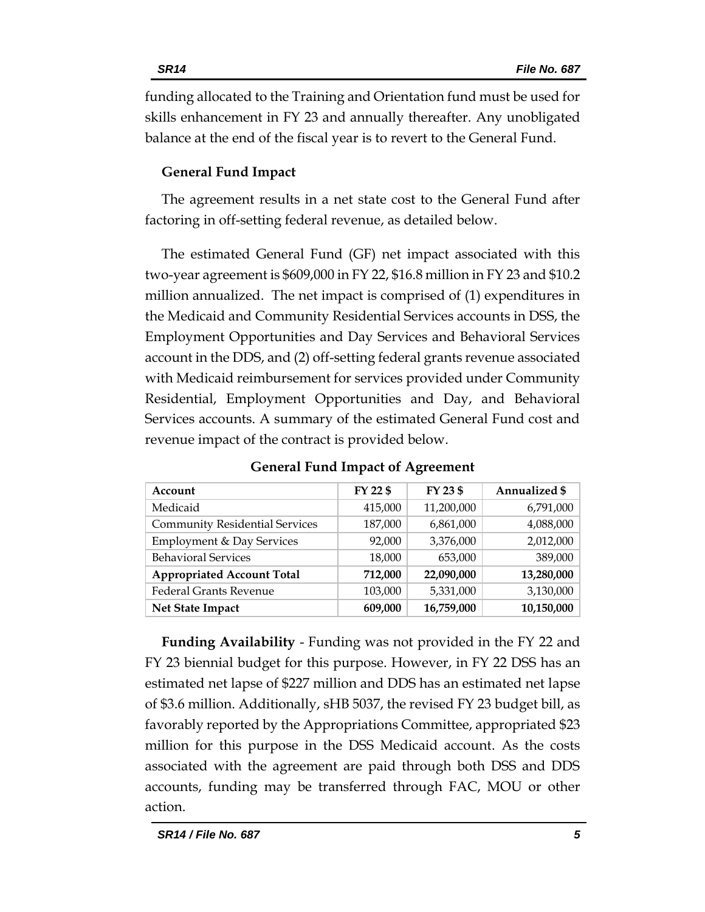funding allocated to the Training and Orientation fund must be used for skills enhancement in FY 23 and annually thereafter. Any unobligated balance at the end of the fiscal year is to revert to the General Fund.

# **General Fund Impact**

The agreement results in a net state cost to the General Fund after factoring in off-setting federal revenue, as detailed below.

The estimated General Fund (GF) net impact associated with this two-year agreement is \$609,000 in FY 22, \$16.8 million in FY 23 and \$10.2 million annualized. The net impact is comprised of (1) expenditures in the Medicaid and Community Residential Services accounts in DSS, the Employment Opportunities and Day Services and Behavioral Services account in the DDS, and (2) off-setting federal grants revenue associated with Medicaid reimbursement for services provided under Community Residential, Employment Opportunities and Day, and Behavioral Services accounts. A summary of the estimated General Fund cost and revenue impact of the contract is provided below.

| Account                               | FY 22 \$ | FY 23 \$   | Annualized \$ |
|---------------------------------------|----------|------------|---------------|
| Medicaid                              | 415,000  | 11,200,000 | 6,791,000     |
| <b>Community Residential Services</b> | 187,000  | 6,861,000  | 4,088,000     |
| Employment & Day Services             | 92,000   | 3,376,000  | 2,012,000     |
| <b>Behavioral Services</b>            | 18,000   | 653,000    | 389,000       |
| <b>Appropriated Account Total</b>     | 712,000  | 22,090,000 | 13,280,000    |
| <b>Federal Grants Revenue</b>         | 103,000  | 5,331,000  | 3,130,000     |
| Net State Impact                      | 609,000  | 16,759,000 | 10,150,000    |

**General Fund Impact of Agreement** 

**Funding Availability** - Funding was not provided in the FY 22 and FY 23 biennial budget for this purpose. However, in FY 22 DSS has an estimated net lapse of \$227 million and DDS has an estimated net lapse of \$3.6 million. Additionally, sHB 5037, the revised FY 23 budget bill, as favorably reported by the Appropriations Committee, appropriated \$23 million for this purpose in the DSS Medicaid account. As the costs associated with the agreement are paid through both DSS and DDS accounts, funding may be transferred through FAC, MOU or other action.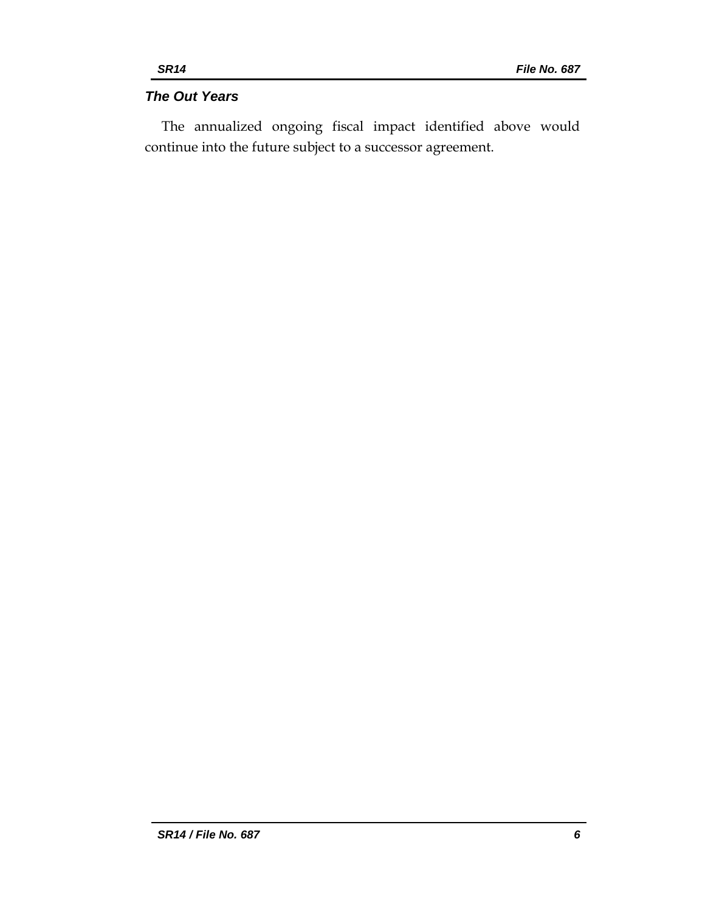# *The Out Years*

The annualized ongoing fiscal impact identified above would continue into the future subject to a successor agreement.